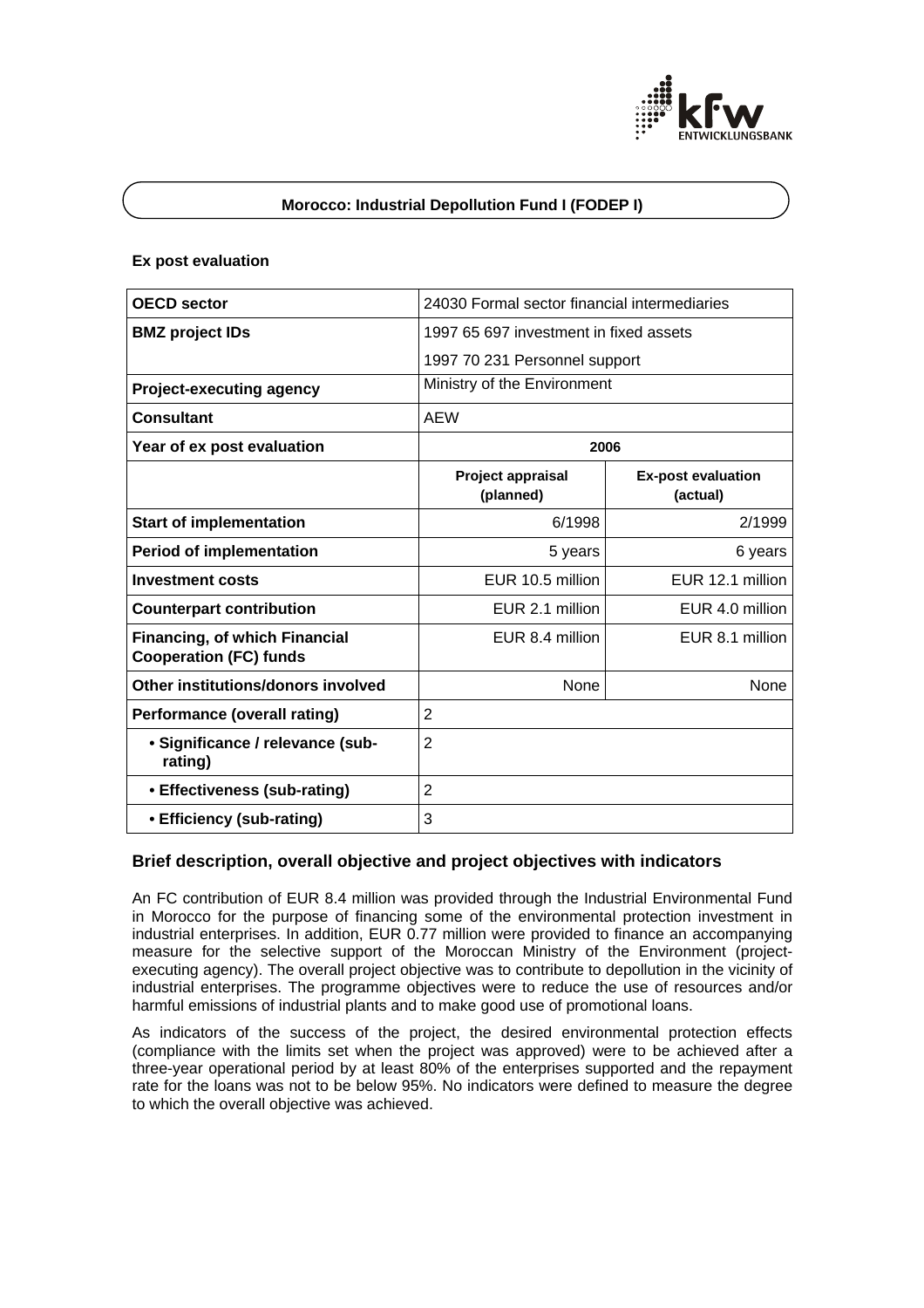

# **Morocco: Industrial Depollution Fund I (FODEP I)**

### **Ex post evaluation**

| <b>OECD</b> sector                                                    | 24030 Formal sector financial intermediaries |                                       |
|-----------------------------------------------------------------------|----------------------------------------------|---------------------------------------|
| <b>BMZ</b> project IDs                                                | 1997 65 697 investment in fixed assets       |                                       |
|                                                                       | 1997 70 231 Personnel support                |                                       |
| <b>Project-executing agency</b>                                       | Ministry of the Environment                  |                                       |
| <b>Consultant</b>                                                     | <b>AEW</b>                                   |                                       |
| Year of ex post evaluation                                            | 2006                                         |                                       |
|                                                                       | Project appraisal<br>(planned)               | <b>Ex-post evaluation</b><br>(actual) |
| <b>Start of implementation</b>                                        | 6/1998                                       | 2/1999                                |
| <b>Period of implementation</b>                                       | 5 years                                      | 6 years                               |
| <b>Investment costs</b>                                               | EUR 10.5 million                             | EUR 12.1 million                      |
| <b>Counterpart contribution</b>                                       | EUR 2.1 million                              | EUR 4.0 million                       |
| <b>Financing, of which Financial</b><br><b>Cooperation (FC) funds</b> | EUR 8.4 million                              | EUR 8.1 million                       |
| Other institutions/donors involved                                    | None                                         | None                                  |
| <b>Performance (overall rating)</b>                                   | $\overline{2}$                               |                                       |
| • Significance / relevance (sub-<br>rating)                           | $\overline{2}$                               |                                       |
| • Effectiveness (sub-rating)                                          | $\overline{2}$                               |                                       |
| • Efficiency (sub-rating)                                             | 3                                            |                                       |

# **Brief description, overall objective and project objectives with indicators**

An FC contribution of EUR 8.4 million was provided through the Industrial Environmental Fund in Morocco for the purpose of financing some of the environmental protection investment in industrial enterprises. In addition, EUR 0.77 million were provided to finance an accompanying measure for the selective support of the Moroccan Ministry of the Environment (projectexecuting agency). The overall project objective was to contribute to depollution in the vicinity of industrial enterprises. The programme objectives were to reduce the use of resources and/or harmful emissions of industrial plants and to make good use of promotional loans.

As indicators of the success of the project, the desired environmental protection effects (compliance with the limits set when the project was approved) were to be achieved after a three-year operational period by at least 80% of the enterprises supported and the repayment rate for the loans was not to be below 95%. No indicators were defined to measure the degree to which the overall objective was achieved.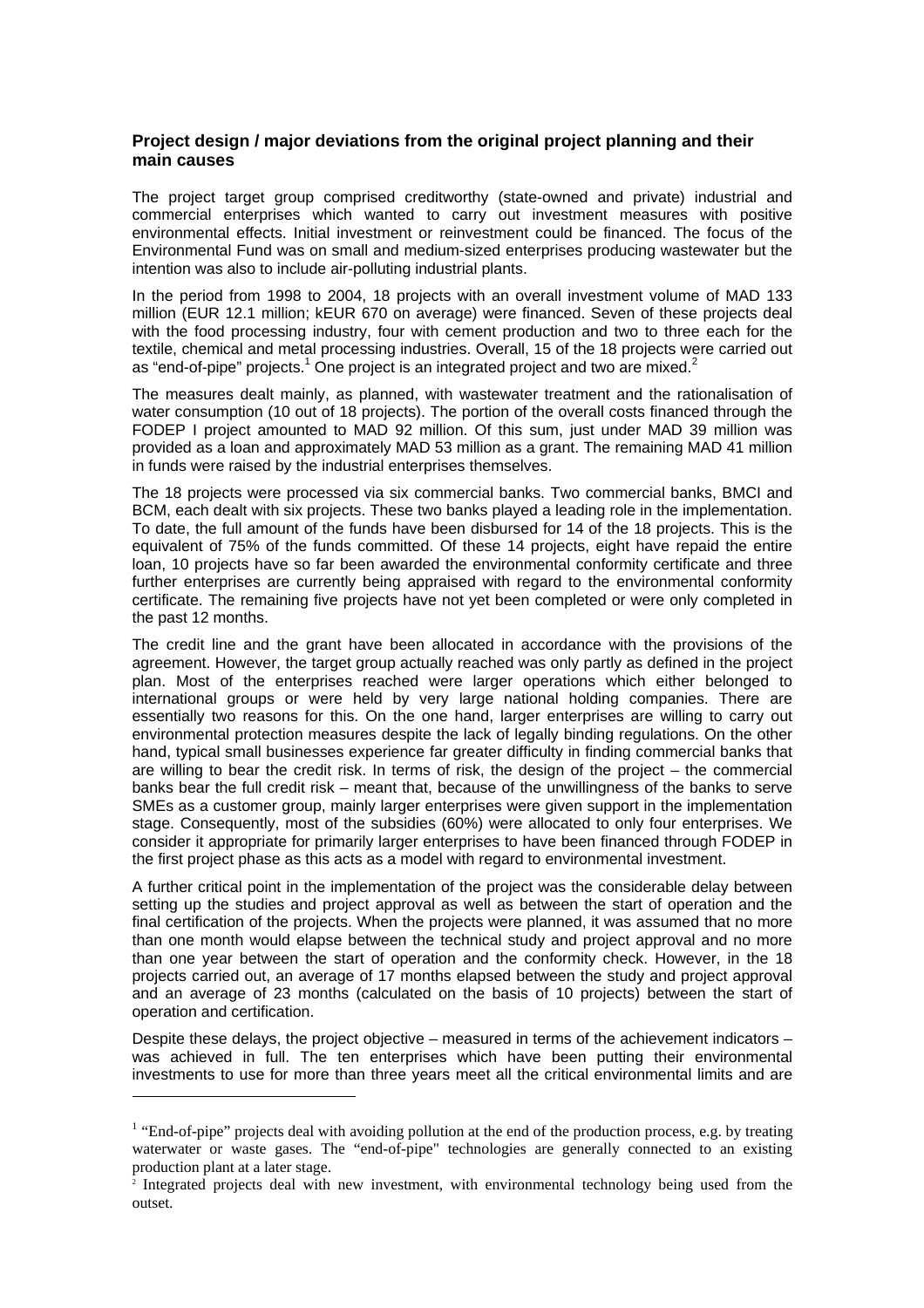## **Project design / major deviations from the original project planning and their main causes**

The project target group comprised creditworthy (state-owned and private) industrial and commercial enterprises which wanted to carry out investment measures with positive environmental effects. Initial investment or reinvestment could be financed. The focus of the Environmental Fund was on small and medium-sized enterprises producing wastewater but the intention was also to include air-polluting industrial plants.

In the period from 1998 to 2004, 18 projects with an overall investment volume of MAD 133 million (EUR 12.1 million; kEUR 670 on average) were financed. Seven of these projects deal with the food processing industry, four with cement production and two to three each for the textile, chemical and metal processing industries. Overall, 15 of the 18 projects were carried out as "end-of-pipe" projects.<sup>1</sup> One project is an integrated project and two are mixed.<sup>2</sup>

The measures dealt mainly, as planned, with wastewater treatment and the rationalisation of water consumption (10 out of 18 projects). The portion of the overall costs financed through the FODEP I project amounted to MAD 92 million. Of this sum, just under MAD 39 million was provided as a loan and approximately MAD 53 million as a grant. The remaining MAD 41 million in funds were raised by the industrial enterprises themselves.

The 18 projects were processed via six commercial banks. Two commercial banks, BMCI and BCM, each dealt with six projects. These two banks played a leading role in the implementation. To date, the full amount of the funds have been disbursed for 14 of the 18 projects. This is the equivalent of 75% of the funds committed. Of these 14 projects, eight have repaid the entire loan, 10 projects have so far been awarded the environmental conformity certificate and three further enterprises are currently being appraised with regard to the environmental conformity certificate. The remaining five projects have not yet been completed or were only completed in the past 12 months.

The credit line and the grant have been allocated in accordance with the provisions of the agreement. However, the target group actually reached was only partly as defined in the project plan. Most of the enterprises reached were larger operations which either belonged to international groups or were held by very large national holding companies. There are essentially two reasons for this. On the one hand, larger enterprises are willing to carry out environmental protection measures despite the lack of legally binding regulations. On the other hand, typical small businesses experience far greater difficulty in finding commercial banks that are willing to bear the credit risk. In terms of risk, the design of the project – the commercial banks bear the full credit risk – meant that, because of the unwillingness of the banks to serve SMEs as a customer group, mainly larger enterprises were given support in the implementation stage. Consequently, most of the subsidies (60%) were allocated to only four enterprises. We consider it appropriate for primarily larger enterprises to have been financed through FODEP in the first project phase as this acts as a model with regard to environmental investment.

A further critical point in the implementation of the project was the considerable delay between setting up the studies and project approval as well as between the start of operation and the final certification of the projects. When the projects were planned, it was assumed that no more than one month would elapse between the technical study and project approval and no more than one year between the start of operation and the conformity check. However, in the 18 projects carried out, an average of 17 months elapsed between the study and project approval and an average of 23 months (calculated on the basis of 10 projects) between the start of operation and certification.

Despite these delays, the project objective – measured in terms of the achievement indicators – was achieved in full. The ten enterprises which have been putting their environmental investments to use for more than three years meet all the critical environmental limits and are

l

 $<sup>1</sup>$  "End-of-pipe" projects deal with avoiding pollution at the end of the production process, e.g. by treating</sup> waterwater or waste gases. The "end-of-pipe" technologies are generally connected to an existing production plant at a later stage.

<sup>&</sup>lt;sup>2</sup> Integrated projects deal with new investment, with environmental technology being used from the outset.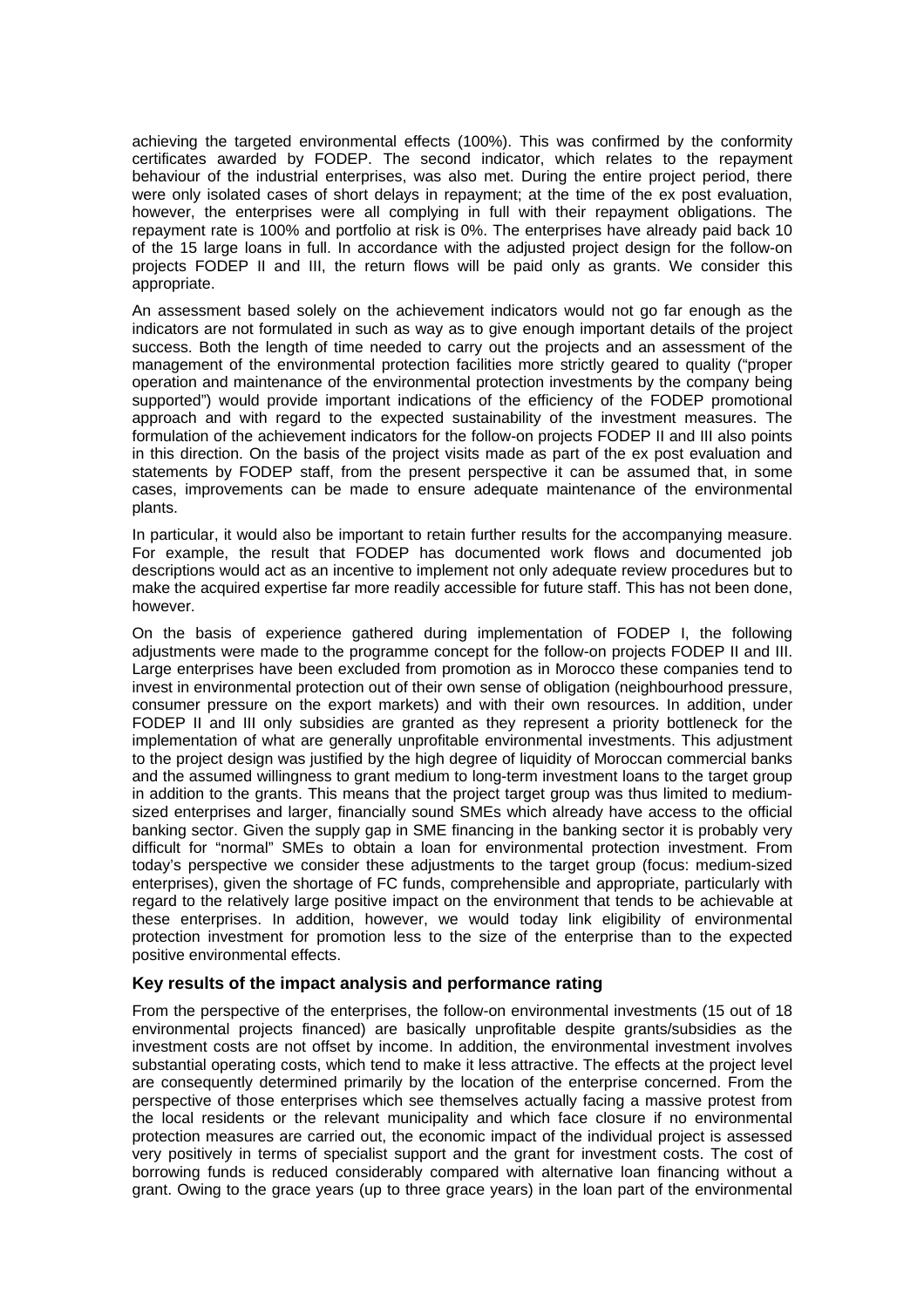achieving the targeted environmental effects (100%). This was confirmed by the conformity certificates awarded by FODEP. The second indicator, which relates to the repayment behaviour of the industrial enterprises, was also met. During the entire project period, there were only isolated cases of short delays in repayment; at the time of the ex post evaluation, however, the enterprises were all complying in full with their repayment obligations. The repayment rate is 100% and portfolio at risk is 0%. The enterprises have already paid back 10 of the 15 large loans in full. In accordance with the adjusted project design for the follow-on projects FODEP II and III, the return flows will be paid only as grants. We consider this appropriate.

An assessment based solely on the achievement indicators would not go far enough as the indicators are not formulated in such as way as to give enough important details of the project success. Both the length of time needed to carry out the projects and an assessment of the management of the environmental protection facilities more strictly geared to quality ("proper operation and maintenance of the environmental protection investments by the company being supported") would provide important indications of the efficiency of the FODEP promotional approach and with regard to the expected sustainability of the investment measures. The formulation of the achievement indicators for the follow-on projects FODEP II and III also points in this direction. On the basis of the project visits made as part of the ex post evaluation and statements by FODEP staff, from the present perspective it can be assumed that, in some cases, improvements can be made to ensure adequate maintenance of the environmental plants.

In particular, it would also be important to retain further results for the accompanying measure. For example, the result that FODEP has documented work flows and documented job descriptions would act as an incentive to implement not only adequate review procedures but to make the acquired expertise far more readily accessible for future staff. This has not been done, however.

On the basis of experience gathered during implementation of FODEP I, the following adjustments were made to the programme concept for the follow-on projects FODEP II and III. Large enterprises have been excluded from promotion as in Morocco these companies tend to invest in environmental protection out of their own sense of obligation (neighbourhood pressure, consumer pressure on the export markets) and with their own resources. In addition, under FODEP II and III only subsidies are granted as they represent a priority bottleneck for the implementation of what are generally unprofitable environmental investments. This adjustment to the project design was justified by the high degree of liquidity of Moroccan commercial banks and the assumed willingness to grant medium to long-term investment loans to the target group in addition to the grants. This means that the project target group was thus limited to mediumsized enterprises and larger, financially sound SMEs which already have access to the official banking sector. Given the supply gap in SME financing in the banking sector it is probably very difficult for "normal" SMEs to obtain a loan for environmental protection investment. From today's perspective we consider these adjustments to the target group (focus: medium-sized enterprises), given the shortage of FC funds, comprehensible and appropriate, particularly with regard to the relatively large positive impact on the environment that tends to be achievable at these enterprises. In addition, however, we would today link eligibility of environmental protection investment for promotion less to the size of the enterprise than to the expected positive environmental effects.

## **Key results of the impact analysis and performance rating**

From the perspective of the enterprises, the follow-on environmental investments (15 out of 18 environmental projects financed) are basically unprofitable despite grants/subsidies as the investment costs are not offset by income. In addition, the environmental investment involves substantial operating costs, which tend to make it less attractive. The effects at the project level are consequently determined primarily by the location of the enterprise concerned. From the perspective of those enterprises which see themselves actually facing a massive protest from the local residents or the relevant municipality and which face closure if no environmental protection measures are carried out, the economic impact of the individual project is assessed very positively in terms of specialist support and the grant for investment costs. The cost of borrowing funds is reduced considerably compared with alternative loan financing without a grant. Owing to the grace years (up to three grace years) in the loan part of the environmental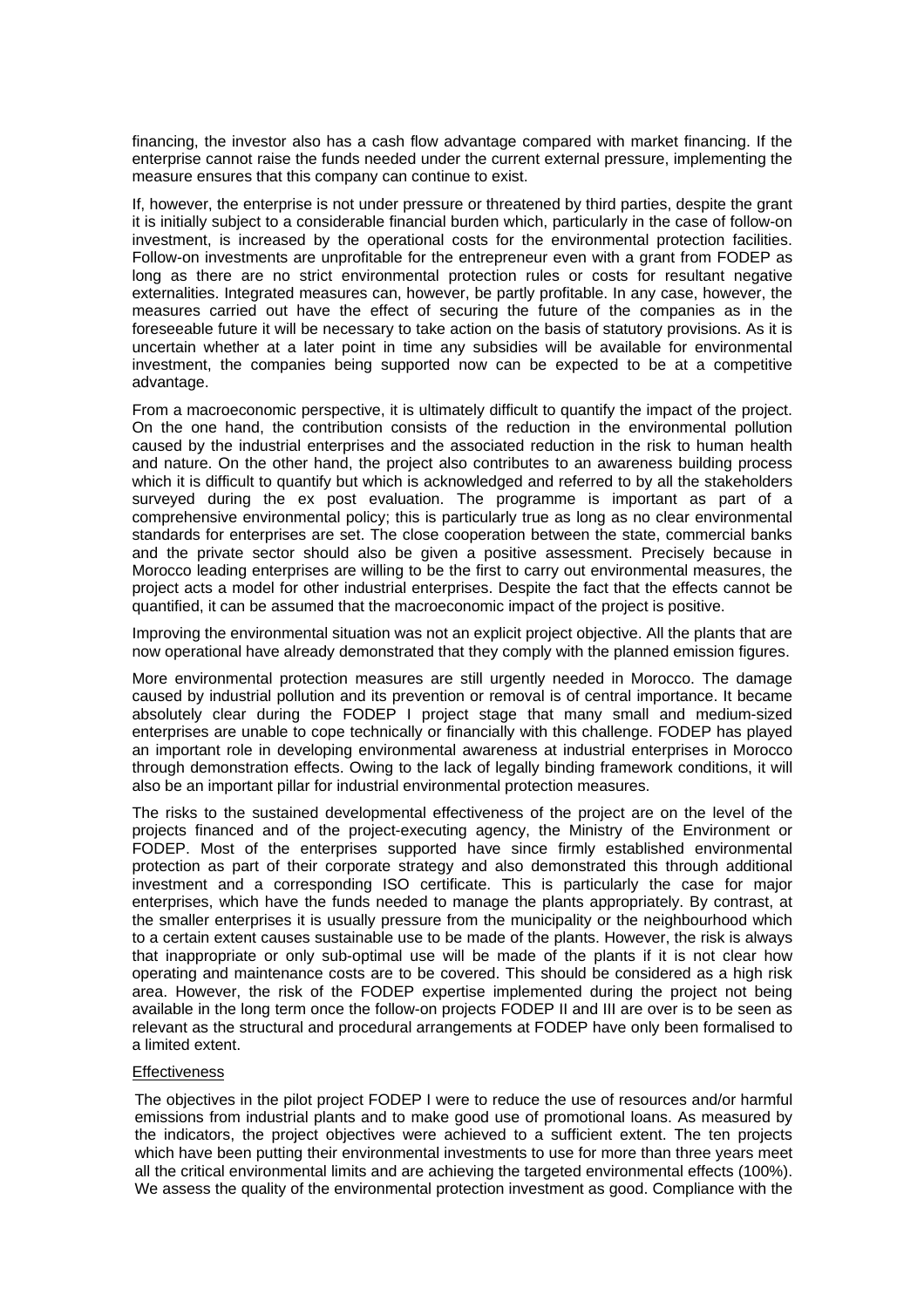financing, the investor also has a cash flow advantage compared with market financing. If the enterprise cannot raise the funds needed under the current external pressure, implementing the measure ensures that this company can continue to exist.

If, however, the enterprise is not under pressure or threatened by third parties, despite the grant it is initially subject to a considerable financial burden which, particularly in the case of follow-on investment, is increased by the operational costs for the environmental protection facilities. Follow-on investments are unprofitable for the entrepreneur even with a grant from FODEP as long as there are no strict environmental protection rules or costs for resultant negative externalities. Integrated measures can, however, be partly profitable. In any case, however, the measures carried out have the effect of securing the future of the companies as in the foreseeable future it will be necessary to take action on the basis of statutory provisions. As it is uncertain whether at a later point in time any subsidies will be available for environmental investment, the companies being supported now can be expected to be at a competitive advantage.

From a macroeconomic perspective, it is ultimately difficult to quantify the impact of the project. On the one hand, the contribution consists of the reduction in the environmental pollution caused by the industrial enterprises and the associated reduction in the risk to human health and nature. On the other hand, the project also contributes to an awareness building process which it is difficult to quantify but which is acknowledged and referred to by all the stakeholders surveyed during the ex post evaluation. The programme is important as part of a comprehensive environmental policy; this is particularly true as long as no clear environmental standards for enterprises are set. The close cooperation between the state, commercial banks and the private sector should also be given a positive assessment. Precisely because in Morocco leading enterprises are willing to be the first to carry out environmental measures, the project acts a model for other industrial enterprises. Despite the fact that the effects cannot be quantified, it can be assumed that the macroeconomic impact of the project is positive.

Improving the environmental situation was not an explicit project objective. All the plants that are now operational have already demonstrated that they comply with the planned emission figures.

More environmental protection measures are still urgently needed in Morocco. The damage caused by industrial pollution and its prevention or removal is of central importance. It became absolutely clear during the FODEP I project stage that many small and medium-sized enterprises are unable to cope technically or financially with this challenge. FODEP has played an important role in developing environmental awareness at industrial enterprises in Morocco through demonstration effects. Owing to the lack of legally binding framework conditions, it will also be an important pillar for industrial environmental protection measures.

The risks to the sustained developmental effectiveness of the project are on the level of the projects financed and of the project-executing agency, the Ministry of the Environment or FODEP. Most of the enterprises supported have since firmly established environmental protection as part of their corporate strategy and also demonstrated this through additional investment and a corresponding ISO certificate. This is particularly the case for major enterprises, which have the funds needed to manage the plants appropriately. By contrast, at the smaller enterprises it is usually pressure from the municipality or the neighbourhood which to a certain extent causes sustainable use to be made of the plants. However, the risk is always that inappropriate or only sub-optimal use will be made of the plants if it is not clear how operating and maintenance costs are to be covered. This should be considered as a high risk area. However, the risk of the FODEP expertise implemented during the project not being available in the long term once the follow-on projects FODEP II and III are over is to be seen as relevant as the structural and procedural arrangements at FODEP have only been formalised to a limited extent.

### **Effectiveness**

The objectives in the pilot project FODEP I were to reduce the use of resources and/or harmful emissions from industrial plants and to make good use of promotional loans. As measured by the indicators, the project objectives were achieved to a sufficient extent. The ten projects which have been putting their environmental investments to use for more than three years meet all the critical environmental limits and are achieving the targeted environmental effects (100%). We assess the quality of the environmental protection investment as good. Compliance with the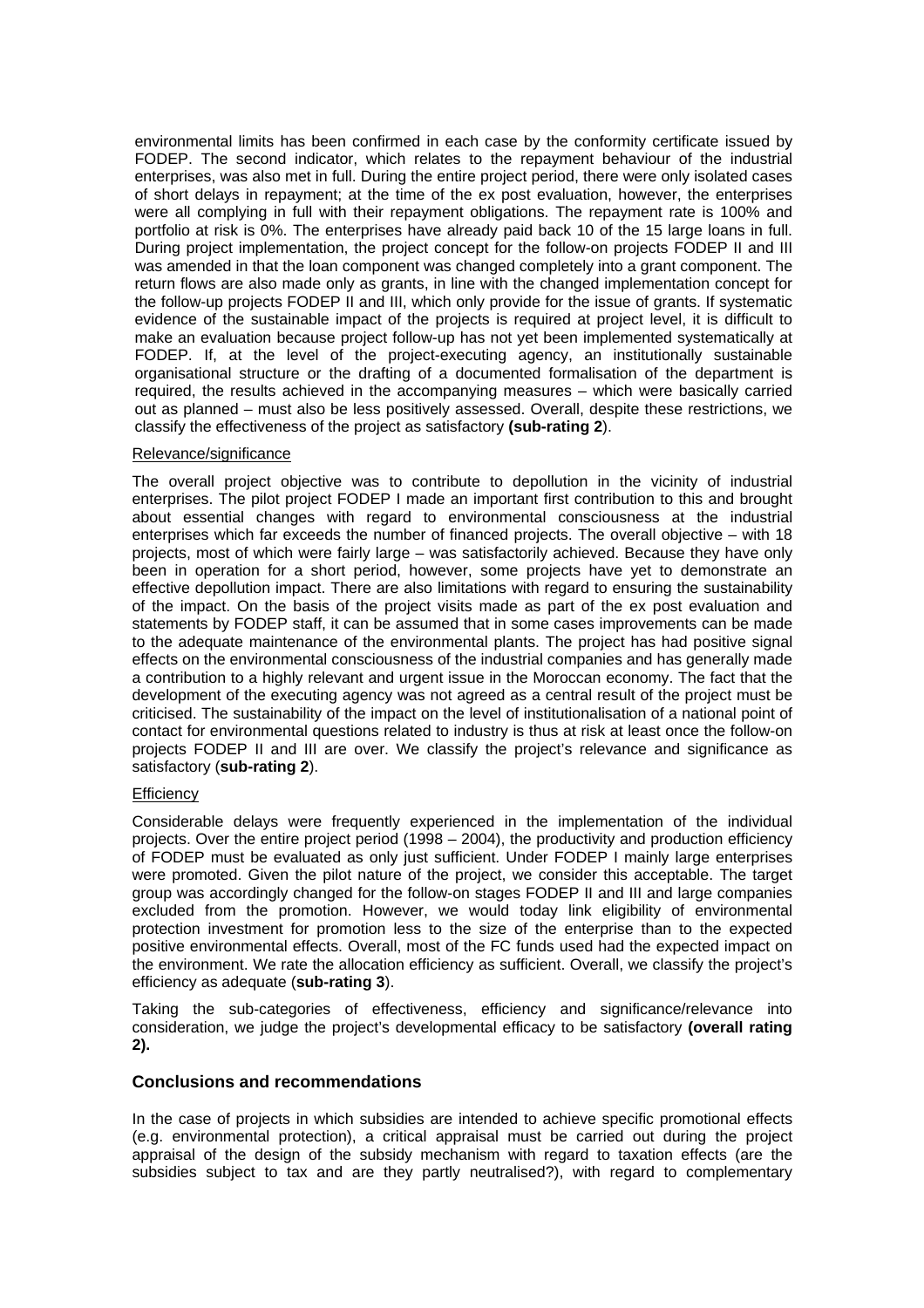environmental limits has been confirmed in each case by the conformity certificate issued by FODEP. The second indicator, which relates to the repayment behaviour of the industrial enterprises, was also met in full. During the entire project period, there were only isolated cases of short delays in repayment; at the time of the ex post evaluation, however, the enterprises were all complying in full with their repayment obligations. The repayment rate is 100% and portfolio at risk is 0%. The enterprises have already paid back 10 of the 15 large loans in full. During project implementation, the project concept for the follow-on projects FODEP II and III was amended in that the loan component was changed completely into a grant component. The return flows are also made only as grants, in line with the changed implementation concept for the follow-up projects FODEP II and III, which only provide for the issue of grants. If systematic evidence of the sustainable impact of the projects is required at project level, it is difficult to make an evaluation because project follow-up has not yet been implemented systematically at FODEP. If, at the level of the project-executing agency, an institutionally sustainable organisational structure or the drafting of a documented formalisation of the department is required, the results achieved in the accompanying measures – which were basically carried out as planned – must also be less positively assessed. Overall, despite these restrictions, we classify the effectiveness of the project as satisfactory **(sub-rating 2**).

### Relevance/significance

The overall project objective was to contribute to depollution in the vicinity of industrial enterprises. The pilot project FODEP I made an important first contribution to this and brought about essential changes with regard to environmental consciousness at the industrial enterprises which far exceeds the number of financed projects. The overall objective – with 18 projects, most of which were fairly large – was satisfactorily achieved. Because they have only been in operation for a short period, however, some projects have yet to demonstrate an effective depollution impact. There are also limitations with regard to ensuring the sustainability of the impact. On the basis of the project visits made as part of the ex post evaluation and statements by FODEP staff, it can be assumed that in some cases improvements can be made to the adequate maintenance of the environmental plants. The project has had positive signal effects on the environmental consciousness of the industrial companies and has generally made a contribution to a highly relevant and urgent issue in the Moroccan economy. The fact that the development of the executing agency was not agreed as a central result of the project must be criticised. The sustainability of the impact on the level of institutionalisation of a national point of contact for environmental questions related to industry is thus at risk at least once the follow-on projects FODEP II and III are over. We classify the project's relevance and significance as satisfactory (**sub-rating 2**).

### **Efficiency**

Considerable delays were frequently experienced in the implementation of the individual projects. Over the entire project period (1998 – 2004), the productivity and production efficiency of FODEP must be evaluated as only just sufficient. Under FODEP I mainly large enterprises were promoted. Given the pilot nature of the project, we consider this acceptable. The target group was accordingly changed for the follow-on stages FODEP II and III and large companies excluded from the promotion. However, we would today link eligibility of environmental protection investment for promotion less to the size of the enterprise than to the expected positive environmental effects. Overall, most of the FC funds used had the expected impact on the environment. We rate the allocation efficiency as sufficient. Overall, we classify the project's efficiency as adequate (**sub-rating 3**).

Taking the sub-categories of effectiveness, efficiency and significance/relevance into consideration, we judge the project's developmental efficacy to be satisfactory **(overall rating 2).**

## **Conclusions and recommendations**

In the case of projects in which subsidies are intended to achieve specific promotional effects (e.g. environmental protection), a critical appraisal must be carried out during the project appraisal of the design of the subsidy mechanism with regard to taxation effects (are the subsidies subject to tax and are they partly neutralised?), with regard to complementary